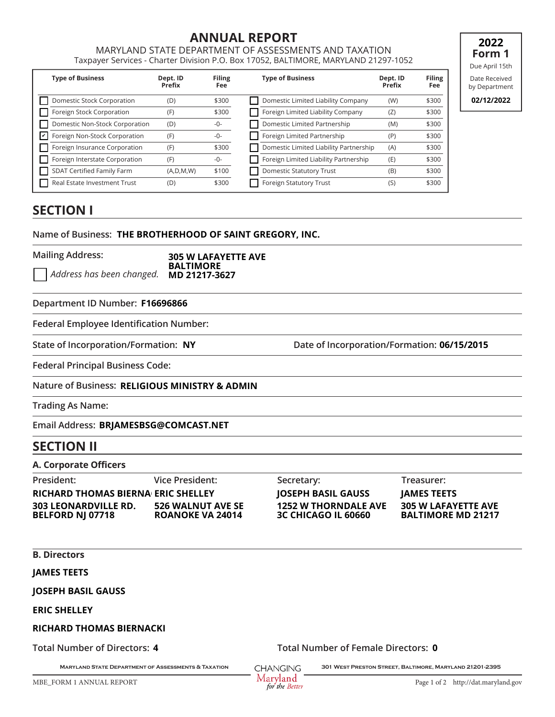# **ANNUAL REPORT**

MARYLAND STATE DEPARTMENT OF ASSESSMENTS AND TAXATION Taxpayer Services - Charter Division P.O. Box 17052, BALTIMORE, MARYLAND 21297-1052

|    | <b>Type of Business</b>        | Dept. ID<br>Prefix | <b>Filing</b><br>Fee | <b>Type of Business</b>                | Dept. ID<br>Prefix | <b>Filing</b><br>Fee |
|----|--------------------------------|--------------------|----------------------|----------------------------------------|--------------------|----------------------|
|    | Domestic Stock Corporation     | (D)                | \$300                | Domestic Limited Liability Company     | (W)                | \$300                |
|    | Foreign Stock Corporation      | (F)                | \$300                | Foreign Limited Liability Company      | (Z)                | \$300                |
|    | Domestic Non-Stock Corporation | (D)                | -0-                  | Domestic Limited Partnership           | (M)                | \$300                |
| lآ | Foreign Non-Stock Corporation  | (F)                | -0-                  | Foreign Limited Partnership            | (P)                | \$300                |
|    | Foreign Insurance Corporation  | (F)                | \$300                | Domestic Limited Liability Partnership | (A)                | \$300                |
|    | Foreign Interstate Corporation | (F)                | -0-                  | Foreign Limited Liability Partnership  | (E)                | \$300                |
|    | SDAT Certified Family Farm     | (A, D, M, W)       | \$100                | <b>Domestic Statutory Trust</b>        | (B)                | \$300                |
|    | Real Estate Investment Trust   | (D)                | \$300                | <b>Foreign Statutory Trust</b>         | (S)                | \$300                |

**19 2022 Form 1** Due April 15th

Date Received by Department

**02/12/2022**

# **SECTION I**

Name of Business: THE BROTHERHOOD OF SAINT GREGORY, INC.

**Mailing Address:**

*Address has been changed.*  **305 W LAFAYETTE AVE BALTIMORE MD 21217-3627**

#### **Department ID Number:**

**Federal Employee Identification Number:**

**State of Incorporation/Formation: Date of Incorporation/Formation:** Date of Incorporation/Formation: **06/15/2015**<br> **CONSECTED BASIL GAUSS FRAMEL SECTED BASIL GAUSS FRAMEL SECTS** 

**Federal Principal Business Code:**

**Nature of Business: BRUAMES AND SET ON STAND IN SUBSEX SECURITIES:**<br>Ress: RELIGIOUS MINISTRY & ADMIN<br>RE:<br>BRJAMESBSG@COMCAST.NET

**Trading As Name:**

**Email Address:**

## **SECTION II**

#### **A. Corporate Officers**

**President: Vice President: Secretary: Treasurer: 303 LEONARDVILLE RD. BELFORD NJ 07718 526 WALNUT AVE SE ROANOKE VA 24014 RIGHARD THE BROTHERHOOD OF SAINT GREGORY, INC.**<br> **Mailing Address:**<br>  $\rightarrow$  Address has been changed. MD 21217-3627<br> **Department ID Number: F16696866**<br> **Federal Employee Identification Number:**<br> **Extered Principal Business RICHARD THOMAS BIERNA ERIC SHELLEY** 

**1252 W THORNDALE AVE 3C CHICAGO IL 60660**

**305 W LAFAYETTE AVE BALTIMORE MD 21217**

**B. Directors**

**ERIC SHELLEY JOSEPH BASIL GAUSS JAMES TEETS**

**Total Number of Directors: 4** 

**Total Number of Directors: Total Number of Female Directors: 0**

**Maryland State Department of Assessments & Taxation 301 West Preston Street, Baltimore, Maryland 21201-2395**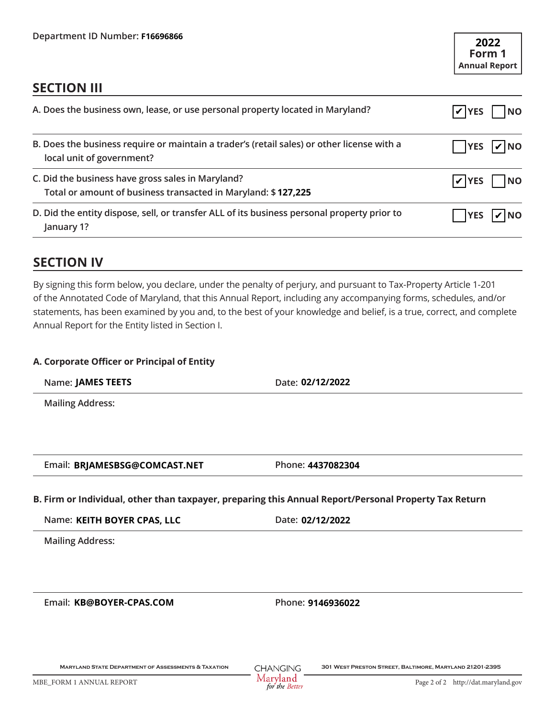| Department ID Number: F16696866                                                                                                                                                                                                                                                                                                                                                                                   |                   | 2022<br>Form 1<br><b>Annual Report</b> |
|-------------------------------------------------------------------------------------------------------------------------------------------------------------------------------------------------------------------------------------------------------------------------------------------------------------------------------------------------------------------------------------------------------------------|-------------------|----------------------------------------|
| <b>SECTION III</b>                                                                                                                                                                                                                                                                                                                                                                                                |                   |                                        |
| A. Does the business own, lease, or use personal property located in Maryland?                                                                                                                                                                                                                                                                                                                                    |                   | $ V $ YES<br><b>NO</b>                 |
| B. Does the business require or maintain a trader's (retail sales) or other license with a<br>local unit of government?                                                                                                                                                                                                                                                                                           |                   | <b>YES</b><br>$ V $ NO                 |
| C. Did the business have gross sales in Maryland?<br>Total or amount of business transacted in Maryland: \$127,225                                                                                                                                                                                                                                                                                                |                   | $ V $ YES<br><b>NO</b>                 |
| D. Did the entity dispose, sell, or transfer ALL of its business personal property prior to<br>January 1?                                                                                                                                                                                                                                                                                                         |                   | <b>YES</b><br><b>INO</b>               |
| <b>SECTION IV</b>                                                                                                                                                                                                                                                                                                                                                                                                 |                   |                                        |
| By signing this form below, you declare, under the penalty of perjury, and pursuant to Tax-Property Article 1-201<br>of the Annotated Code of Maryland, that this Annual Report, including any accompanying forms, schedules, and/or<br>statements, has been examined by you and, to the best of your knowledge and belief, is a true, correct, and complete<br>Annual Report for the Entity listed in Section I. |                   |                                        |
| A. Corporate Officer or Principal of Entity                                                                                                                                                                                                                                                                                                                                                                       |                   |                                        |
| Name: JAMES TEETS                                                                                                                                                                                                                                                                                                                                                                                                 | Date: 02/12/2022  |                                        |
| <b>Mailing Address:</b>                                                                                                                                                                                                                                                                                                                                                                                           |                   |                                        |
| Email: BRJAMESBSG@COMCAST.NET                                                                                                                                                                                                                                                                                                                                                                                     | Phone: 4437082304 |                                        |
| B. Firm or Individual, other than taxpayer, preparing this Annual Report/Personal Property Tax Return                                                                                                                                                                                                                                                                                                             |                   |                                        |
| Name: KEITH BOYER CPAS, LLC                                                                                                                                                                                                                                                                                                                                                                                       | Date: 02/12/2022  |                                        |
| <b>Mailing Address:</b>                                                                                                                                                                                                                                                                                                                                                                                           |                   |                                        |
| Email: KB@BOYER-CPAS.COM                                                                                                                                                                                                                                                                                                                                                                                          | Phone: 9146936022 |                                        |

# **SECTION IV**

#### **A. Corporate Officer or Principal of Entity**

#### **B. Firm or Individual, other than taxpayer, preparing this Annual Report/Personal Property Tax Return**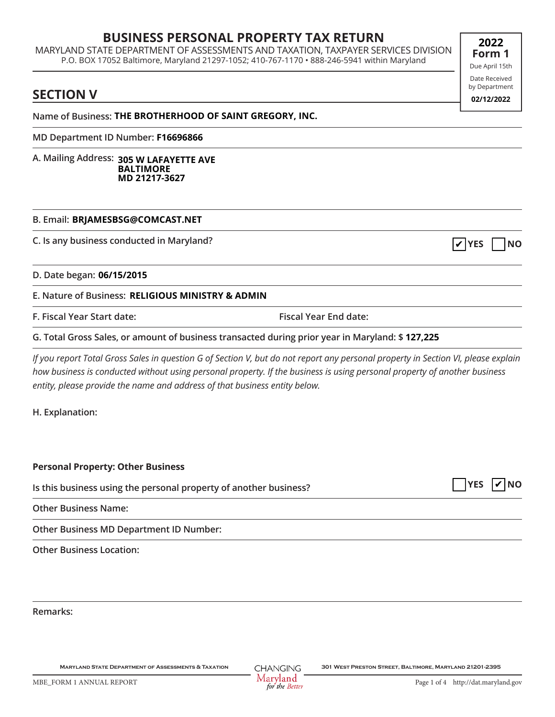## **BUSINESS PERSONAL PROPERTY TAX RETURN**

MARYLAND STATE DEPARTMENT OF ASSESSMENTS AND TAXATION, TAXPAYER SERVICES DIVISION P.O. BOX 17052 Baltimore, Maryland 21297-1052; 410-767-1170 • 888-246-5941 within Maryland **06/16/2015 2022**<br> **06/16/2016 2022**<br> **14/2022**<br> **14/2022**<br> **14/2022**<br> **14/2022**<br> **14/2022**<br> **14/2022**<br> **14/2022**<br> **14/2016**<br> **14/2016**<br> **14/2016**<br> **14/2022**<br> **14/2022**<br> **14/2022**<br> **14/2022**<br> **14/2022<br>
<b>14/2022**<br> **14/2** 

## **SECTION V**

**Name of Business: THE BROTHERHOOD OF SAINT GREGORY, INC.**

**MD Department ID Number:**

**A. Mailing Address: 305 W LAFAYETTE AVE BALTIMORE MD 21217-3627**

#### **B. Email: BRJAMESBSG@COMCAST.NET**

**C. Is any business conducted in Maryland?**

**D. Date began:**

**E. Nature of Business: RELIGIOUS MINISTRY & ADMIN**

**F. Fiscal Year Start date: Fiscal Year End date:**

**G. Total Gross Sales, or amount of business transacted during prior year in Maryland: \$ 127,225 F16696866**

*If you report Total Gross Sales in question G of Section V, but do not report any personal property in Section VI, please explain how business is conducted without using personal property. If the business is using personal property of another business entity, please provide the name and address of that business entity below.*

**H. Explanation:**

**Personal Property: Other Business**

**Is this business using the personal property of another business?**

**Other Business Name:**

**Other Business MD Department ID Number:**

**Other Business Location:**

**Remarks:**

Due April 15th Date Received by Department





**19 Form 1**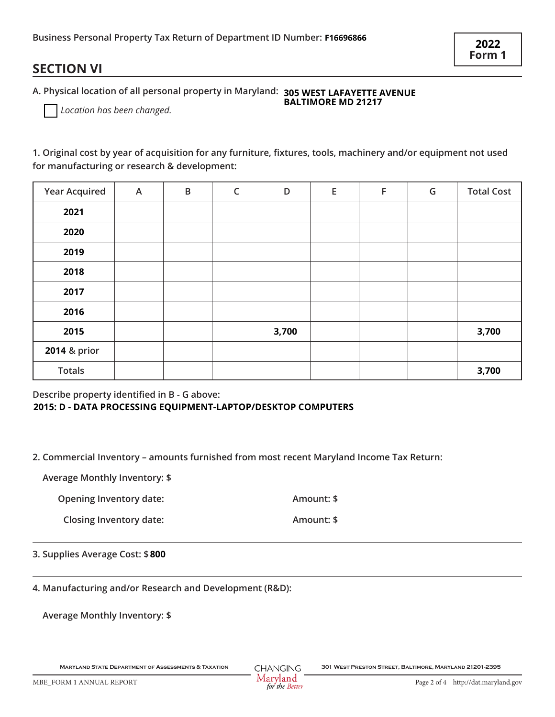## **SECTION VI**

| Business Personal Property Tax Return of Department ID Number: F16696866<br><b>SECTION VI</b>                                                                   |   |   |   |       |            |   | 2022<br>Form 1 |                   |
|-----------------------------------------------------------------------------------------------------------------------------------------------------------------|---|---|---|-------|------------|---|----------------|-------------------|
| A. Physical location of all personal property in Maryland: 305 WEST LAFAYETTE AVENUE<br>BALTIMORE MD 21217<br>Location has been changed.                        |   |   |   |       |            |   |                |                   |
| 1. Original cost by year of acquisition for any furniture, fixtures, tools, machinery and/or equipment not used<br>for manufacturing or research & development: |   |   |   |       |            |   |                |                   |
| <b>Year Acquired</b>                                                                                                                                            | A | B | C | D     | E          | F | G              | <b>Total Cost</b> |
| 2021                                                                                                                                                            |   |   |   |       |            |   |                |                   |
| 2020                                                                                                                                                            |   |   |   |       |            |   |                |                   |
| 2019                                                                                                                                                            |   |   |   |       |            |   |                |                   |
| 2018                                                                                                                                                            |   |   |   |       |            |   |                |                   |
| 2017                                                                                                                                                            |   |   |   |       |            |   |                |                   |
| 2016                                                                                                                                                            |   |   |   |       |            |   |                |                   |
| 2015                                                                                                                                                            |   |   |   | 3,700 |            |   |                | 3,700             |
| 2014 & prior                                                                                                                                                    |   |   |   |       |            |   |                |                   |
| <b>Totals</b>                                                                                                                                                   |   |   |   |       |            |   |                | 3,700             |
| Describe property identified in B - G above:<br>2015: D - DATA PROCESSING EQUIPMENT-LAPTOP/DESKTOP COMPUTERS                                                    |   |   |   |       |            |   |                |                   |
| 2. Commercial Inventory - amounts furnished from most recent Maryland Income Tax Return:                                                                        |   |   |   |       |            |   |                |                   |
| <b>Average Monthly Inventory: \$</b>                                                                                                                            |   |   |   |       |            |   |                |                   |
| <b>Opening Inventory date:</b>                                                                                                                                  |   |   |   |       | Amount: \$ |   |                |                   |
| <b>Closing Inventory date:</b>                                                                                                                                  |   |   |   |       | Amount: \$ |   |                |                   |
| 3. Supplies Average Cost: \$800                                                                                                                                 |   |   |   |       |            |   |                |                   |

#### **2015: D - DATA PROCESSING EQUIPMENT-LAPTOP/DESKTOP COMPUTERS**

**4. Manufacturing and/or Research and Development (R&D):** 

**Average Monthly Inventory: \$**

**Maryland State Department of Assessments & Taxation 301 West Preston Street, Baltimore, Maryland 21201-2395**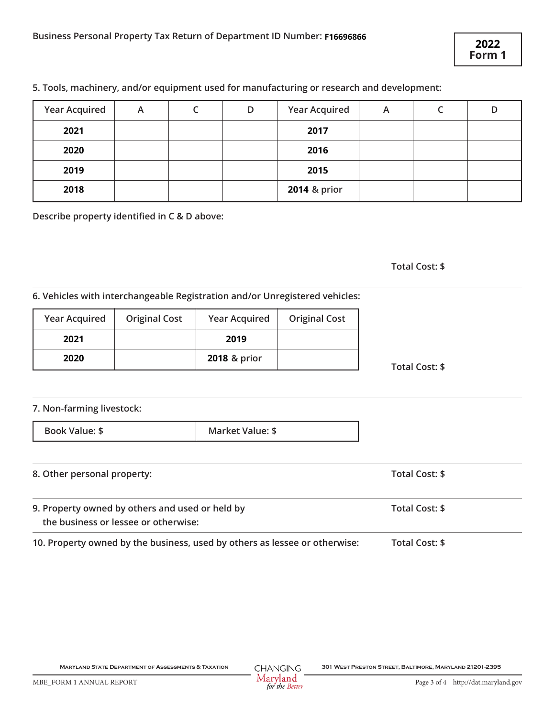#### **5. Tools, machinery, and/or equipment used for manufacturing or research and development:**

|                      |                      |                                                                                           |                      |   |                       | 2022<br>Form 1 |
|----------------------|----------------------|-------------------------------------------------------------------------------------------|----------------------|---|-----------------------|----------------|
|                      |                      | 5. Tools, machinery, and/or equipment used for manufacturing or research and development: |                      |   |                       |                |
| <b>Year Acquired</b> | A                    | $\mathsf C$<br>D                                                                          | <b>Year Acquired</b> | A | $\mathsf{C}$          | D              |
| 2021                 |                      |                                                                                           | 2017                 |   |                       |                |
| 2020                 |                      |                                                                                           | 2016                 |   |                       |                |
| 2019                 |                      |                                                                                           | 2015                 |   |                       |                |
| 2018                 |                      |                                                                                           | 2014 & prior         |   |                       |                |
|                      |                      |                                                                                           |                      |   | <b>Total Cost: \$</b> |                |
|                      |                      | 6. Vehicles with interchangeable Registration and/or Unregistered vehicles:               |                      |   |                       |                |
|                      |                      |                                                                                           |                      |   |                       |                |
| <b>Year Acquired</b> | <b>Original Cost</b> | <b>Year Acquired</b>                                                                      | <b>Original Cost</b> |   |                       |                |
| 2021                 |                      | 2019                                                                                      |                      |   |                       |                |
| 2020                 |                      | 2018 & prior                                                                              |                      |   |                       |                |

**Total Cost: \$**

#### **6. Vehicles with interchangeable Registration and/or Unregistered vehicles:**

| <b>Year Acquired</b> | <b>Original Cost</b> | <b>Year Acquired</b> | <b>Original Cost</b> |
|----------------------|----------------------|----------------------|----------------------|
| 2021                 |                      | 2019                 |                      |
| 2020                 |                      | 2018 & prior         |                      |

#### **7. Non-farming livestock:**

**Book Value: \$** Market Value: \$

| 8. Other personal property:                                                             | Total Cost: \$ |
|-----------------------------------------------------------------------------------------|----------------|
| 9. Property owned by others and used or held by<br>the business or lessee or otherwise: | Total Cost: \$ |
| 10. Property owned by the business, used by others as lessee or otherwise:              | Total Cost: \$ |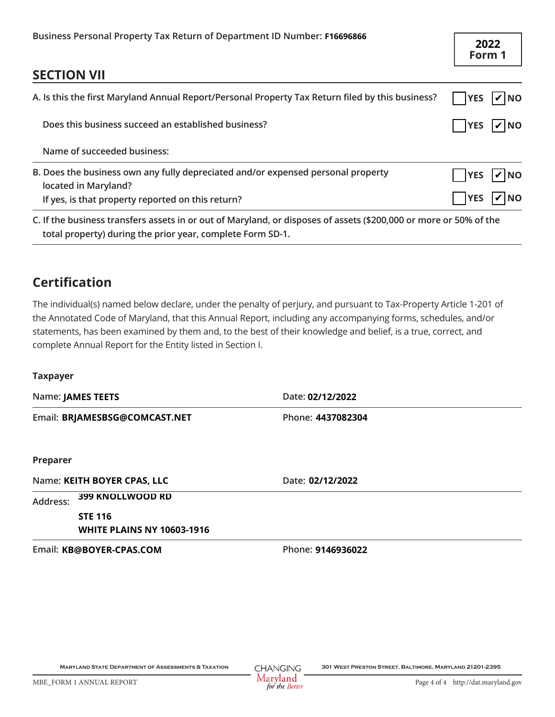| <b>Taxpayer</b><br><b>Preparer</b><br>Address:                                                   | The individual(s) named below declare, under the penalty of perjury, and pursuant to Tax-Property Article 1-201 of<br>the Annotated Code of Maryland, that this Annual Report, including any accompanying forms, schedules, and/or<br>statements, has been examined by them and, to the best of their knowledge and belief, is a true, correct, and<br>complete Annual Report for the Entity listed in Section I.<br>Name: JAMES TEETS<br>Date: 02/12/2022<br>Email: BRJAMESBSG@COMCAST.NET<br>Phone: 4437082304<br>Name: KEITH BOYER CPAS, LLC<br>Date: 02/12/2022<br>399 KNOLLWOOD RD<br><b>STE 116</b><br><b>WHITE PLAINS NY 10603-1916</b> |  |                          |           |  |
|--------------------------------------------------------------------------------------------------|------------------------------------------------------------------------------------------------------------------------------------------------------------------------------------------------------------------------------------------------------------------------------------------------------------------------------------------------------------------------------------------------------------------------------------------------------------------------------------------------------------------------------------------------------------------------------------------------------------------------------------------------|--|--------------------------|-----------|--|
|                                                                                                  |                                                                                                                                                                                                                                                                                                                                                                                                                                                                                                                                                                                                                                                |  |                          |           |  |
|                                                                                                  |                                                                                                                                                                                                                                                                                                                                                                                                                                                                                                                                                                                                                                                |  |                          |           |  |
|                                                                                                  |                                                                                                                                                                                                                                                                                                                                                                                                                                                                                                                                                                                                                                                |  |                          |           |  |
|                                                                                                  |                                                                                                                                                                                                                                                                                                                                                                                                                                                                                                                                                                                                                                                |  |                          |           |  |
|                                                                                                  |                                                                                                                                                                                                                                                                                                                                                                                                                                                                                                                                                                                                                                                |  |                          |           |  |
|                                                                                                  |                                                                                                                                                                                                                                                                                                                                                                                                                                                                                                                                                                                                                                                |  |                          |           |  |
| <b>Certification</b>                                                                             |                                                                                                                                                                                                                                                                                                                                                                                                                                                                                                                                                                                                                                                |  |                          |           |  |
|                                                                                                  |                                                                                                                                                                                                                                                                                                                                                                                                                                                                                                                                                                                                                                                |  |                          |           |  |
|                                                                                                  | total property) during the prior year, complete Form SD-1.                                                                                                                                                                                                                                                                                                                                                                                                                                                                                                                                                                                     |  |                          |           |  |
|                                                                                                  | If yes, is that property reported on this return?<br>C. If the business transfers assets in or out of Maryland, or disposes of assets (\$200,000 or more or 50% of the                                                                                                                                                                                                                                                                                                                                                                                                                                                                         |  |                          | <b>NO</b> |  |
|                                                                                                  | B. Does the business own any fully depreciated and/or expensed personal property<br>located in Maryland?                                                                                                                                                                                                                                                                                                                                                                                                                                                                                                                                       |  | <b>YES</b><br><b>YES</b> | NO        |  |
|                                                                                                  | Name of succeeded business:                                                                                                                                                                                                                                                                                                                                                                                                                                                                                                                                                                                                                    |  |                          |           |  |
|                                                                                                  | Does this business succeed an established business?                                                                                                                                                                                                                                                                                                                                                                                                                                                                                                                                                                                            |  | <b>YES</b>               | $ V $ NO  |  |
| A. Is this the first Maryland Annual Report/Personal Property Tax Return filed by this business? |                                                                                                                                                                                                                                                                                                                                                                                                                                                                                                                                                                                                                                                |  |                          | $ V $ NO  |  |
|                                                                                                  |                                                                                                                                                                                                                                                                                                                                                                                                                                                                                                                                                                                                                                                |  |                          |           |  |
| <b>SECTION VII</b>                                                                               |                                                                                                                                                                                                                                                                                                                                                                                                                                                                                                                                                                                                                                                |  | 2022<br>Form 1           |           |  |

# **Certification**

#### **Taxpayer**

| Does this business succeed an established business?                                                      |                                                                                                                                                                                                                                                                                                                                                     |            |          |  |  |
|----------------------------------------------------------------------------------------------------------|-----------------------------------------------------------------------------------------------------------------------------------------------------------------------------------------------------------------------------------------------------------------------------------------------------------------------------------------------------|------------|----------|--|--|
| Name of succeeded business:                                                                              |                                                                                                                                                                                                                                                                                                                                                     |            |          |  |  |
| B. Does the business own any fully depreciated and/or expensed personal property<br>located in Maryland? |                                                                                                                                                                                                                                                                                                                                                     | <b>YES</b> | $V$ NO   |  |  |
| If yes, is that property reported on this return?                                                        |                                                                                                                                                                                                                                                                                                                                                     | <b>YES</b> | $ v $ NO |  |  |
| total property) during the prior year, complete Form SD-1.                                               | C. If the business transfers assets in or out of Maryland, or disposes of assets (\$200,000 or more or 50% of the                                                                                                                                                                                                                                   |            |          |  |  |
| <b>Certification</b>                                                                                     |                                                                                                                                                                                                                                                                                                                                                     |            |          |  |  |
| complete Annual Report for the Entity listed in Section I.                                               | The individual(s) named below declare, under the penalty of perjury, and pursuant to Tax-Property Article 1-201 of<br>the Annotated Code of Maryland, that this Annual Report, including any accompanying forms, schedules, and/or<br>statements, has been examined by them and, to the best of their knowledge and belief, is a true, correct, and |            |          |  |  |
| <b>Taxpayer</b>                                                                                          |                                                                                                                                                                                                                                                                                                                                                     |            |          |  |  |
| Name: JAMES TEETS                                                                                        | Date: 02/12/2022                                                                                                                                                                                                                                                                                                                                    |            |          |  |  |
| Email: BRJAMESBSG@COMCAST.NET                                                                            | Phone: 4437082304                                                                                                                                                                                                                                                                                                                                   |            |          |  |  |
| Preparer                                                                                                 |                                                                                                                                                                                                                                                                                                                                                     |            |          |  |  |
| Name: KEITH BOYER CPAS, LLC                                                                              | Date: 02/12/2022                                                                                                                                                                                                                                                                                                                                    |            |          |  |  |
| 399 KNOLLWOOD RD<br>Address:                                                                             |                                                                                                                                                                                                                                                                                                                                                     |            |          |  |  |
| <b>STE 116</b>                                                                                           |                                                                                                                                                                                                                                                                                                                                                     |            |          |  |  |
| <b>WHITE PLAINS NY 10603-1916</b>                                                                        |                                                                                                                                                                                                                                                                                                                                                     |            |          |  |  |
| Email: KB@BOYER-CPAS.COM                                                                                 | Phone: 9146936022                                                                                                                                                                                                                                                                                                                                   |            |          |  |  |